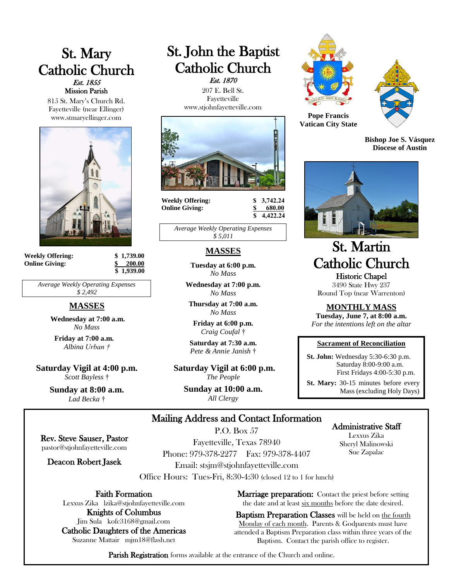# St. Mary Catholic Church Est. 1855 Mission Parish

815 St. Mary's Church Rd. Fayetteville (near Ellinger) www.stmaryellinger.com



**Weekly Offering: \$ 1,739.00 Online Giving: \$ 200.00**

 **\$ 1,939.00**

*Average Weekly Operating Expenses \$ 2,492*

## **MASSES**

**Wednesday at 7:00 a.m.** *No Mass*

**Friday at 7:00 a.m.** *Albina Urban †*

**Saturday Vigil at 4:00 p.m.** *Scott Bayless* †

> **Sunday at 8:00 a.m.** *Lad Becka* †

# St. John the Baptist Catholic Church Est. 1870

 207 E. Bell St. Fayetteville www.stjohnfayetteville.com



**Weekly Offering: \$ 3,742.24 Online Giving: \$ 680.00**

 **\$ 4,422.24**

*Average Weekly Operating Expenses \$ 5,011*

# **MASSES**

**Tuesday at 6:00 p.m.** *No Mass*

**Wednesday at 7:00 p.m.** *No Mass*

**Thursday at 7:00 a.m.** *No Mass*

**Friday at 6:00 p.m.** *Craig Coufal* †

**Saturday at 7:30 a.m.**  *Pete & Annie Janish* †

**Saturday Vigil at 6:00 p.m.** *The People*

> **Sunday at 10:00 a.m.** *All Clergy*





**Pope Francis Vatican City State**

**Bishop Joe S. Vásquez Diocese of Austin**



# St. Martin Catholic Church Historic Chapel

3490 State Hwy 237 Round Top (near Warrenton)

## **MONTHLY MASS**

**Tuesday, June 7, at 8:00 a.m.** *For the intentions left on the altar*

#### **Sacrament of Reconciliation**

 **St. John:** Wednesday 5:30-6:30 p.m. Saturday 8:00-9:00 a.m. First Fridays 4:00-5:30 p.m.

 **St. Mary:** 30-15 minutes before every Mass (excluding Holy Days)

# Mailing Address and Contact Information

Rev. Steve Sauser, Pastor pastor@stjohnfayetteville.com

Deacon Robert Jasek

P.O. Box 57 Fayetteville, Texas 78940 Phone: 979-378-2277 Fax: 979-378-4407 Email: stsjm@stjohnfayetteville.com

Office Hours: Tues-Fri, 8:30-4:30 (closed 12 to 1 for lunch)

Faith Formation

Lexxus Zika lzika@stjohnfayetteville.com Knights of Columbus

Jim Sula kofc3168@gmail.com Catholic Daughters of the Americas Suzanne Mattair mjm18@flash.net

**Marriage preparation:** Contact the priest before setting the date and at least six months before the date desired.

Baptism Preparation Classes will be held on the fourth Monday of each month. Parents & Godparents must have attended a Baptism Preparation class within three years of the Baptism. Contact the parish office to register.

Parish Registration forms available at the entrance of the Church and online.

# Administrative Staff

Lexxus Zika Sheryl Malinowski Sue Zapalac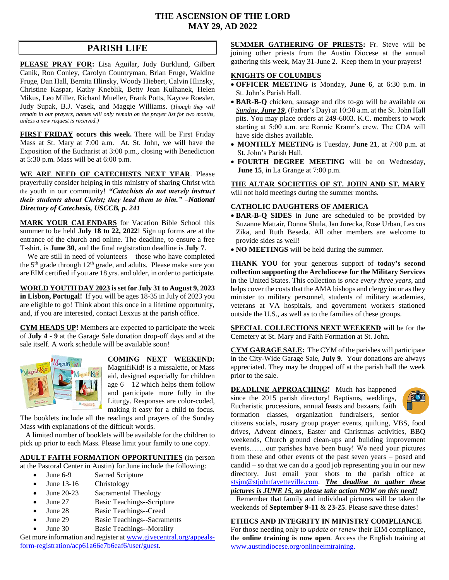## **THE ASCENSION OF THE LORD MAY 29, AD 2022**

# **PARISH LIFE**

**PLEASE PRAY FOR:** Lisa Aguilar, Judy Burklund, Gilbert Canik, Ron Conley, Carolyn Countryman, Brian Fruge, Waldine Fruge, Dan Hall, Bernita Hlinsky, Woody Hiebert, Calvin Hlinsky, Christine Kaspar, Kathy Kneblik, Betty Jean Kulhanek, Helen Mikus, Leo Miller, Richard Mueller, Frank Potts, Kaycee Roesler, Judy Supak, B.J. Vasek, and Maggie Williams. (*Though they will remain in our prayers, names will only remain on the prayer list for two months, unless a new request is received.)*

**FIRST FRIDAY occurs this week.** There will be First Friday Mass at St. Mary at 7:00 a.m. At. St. John, we will have the Exposition of the Eucharist at 3:00 p.m., closing with Benediction at 5:30 p.m. Mass will be at 6:00 p.m.

**WE ARE NEED OF CATECHISTS NEXT YEAR**. Please prayerfully consider helping in this ministry of sharing Christ with the youth in our community! *"Catechists do not merely instruct their students about Christ; they lead them to him." –National Directory of Catechesis, USCCB, p. 241* 

**MARK YOUR CALENDARS** for Vacation Bible School this summer to be held **July 18 to 22, 2022**! Sign up forms are at the entrance of the church and online. The deadline, to ensure a free T-shirt, is **June 30**, and the final registration deadline is **July 7**.

 We are still in need of volunteers – those who have completed the 5<sup>th</sup> grade through 12<sup>th</sup> grade, and adults. Please make sure you are EIM certified if you are 18 yrs. and older, in order to participate.

**WORLD YOUTH DAY 2023 is set for July 31 to August 9, 2023 in Lisbon, Portugal!** If you will be ages 18-35 in July of 2023 you are eligible to go! Think about this once in a lifetime opportunity, and, if you are interested, contact Lexxus at the parish office.

**CYM HEADS UP!** Members are expected to participate the week of **July 4 - 9** at the Garage Sale donation drop-off days and at the sale itself. A work schedule will be available soon!



## **COMING NEXT WEEKEND:**

MagnifiKid! is a missalette, or Mass aid, designed especially for children age  $6 - 12$  which helps them follow and participate more fully in the Liturgy. Responses are color-coded, making it easy for a child to focus.

The booklets include all the readings and prayers of the Sunday Mass with explanations of the difficult words.

 A limited number of booklets will be available for the children to pick up prior to each Mass. Please limit your family to one copy.

## **ADULT FAITH FORMATION OPPORTUNITIES** (in person

at the Pastoral Center in Austin) for June include the following:

- June 6-9 Sacred Scripture
- June 13-16 Christology
- June 20-23 Sacramental Theology
- June 27 Basic Teachings--Scripture
- June 28 Basic Teachings--Creed
- June 29 Basic Teachings--Sacraments
- June 30 Basic Teachings--Morality

Get more information and register a[t www.givecentral.org/appeals](https://www.givecentral.org/appeals-form-registration/acp61a66e7b6eaf6/user/guest)[form-registration/acp61a66e7b6eaf6/user/guest.](https://www.givecentral.org/appeals-form-registration/acp61a66e7b6eaf6/user/guest)

**SUMMER GATHERING OF PRIESTS:** Fr. Steve will be joining other priests from the Austin Diocese at the annual gathering this week, May 31-June 2. Keep them in your prayers!

## **KNIGHTS OF COLUMBUS**

- **OFFICER MEETING** is Monday, **June 6**, at 6:30 p.m. in St. John's Parish Hall.
- **BAR-B-Q** chicken, sausage and ribs to-go will be available *on Sunday, June 19*, (Father's Day) at 10:30 a.m. at the St. John Hall pits. You may place orders at 249-6003. K.C. members to work starting at 5:00 a.m. are Ronnie Kramr's crew. The CDA will have side dishes available.
- **MONTHLY MEETING** is Tuesday, **June 21**, at 7:00 p.m. at St. John's Parish Hall.
- **FOURTH DEGREE MEETING** will be on Wednesday, **June 15**, in La Grange at 7:00 p.m.

**THE ALTAR SOCIETIES OF ST. JOHN AND ST. MARY** will not hold meetings during the summer months.

## **CATHOLIC DAUGHTERS OF AMERICA**

- **BAR-B-Q SIDES** in June are scheduled to be provided by Suzanne Mattair, Donna Shula, Jan Jurecka, Rose Urban, Lexxus Zika, and Ruth Beseda. All other members are welcome to provide sides as well!
- **NO MEETINGS** will be held during the summer.

**THANK YOU** for your generous support of **today's second collection supporting the Archdiocese for the Military Services** in the United States. This collection is *once every three years*, and helps cover the costs that the AMA bishops and clergy incur as they minister to military personnel, students of military academies, veterans at VA hospitals, and government workers stationed outside the U.S., as well as to the families of these groups.

**SPECIAL COLLECTIONS NEXT WEEKEND** will be for the Cemetery at St. Mary and Faith Formation at St. John.

**CYM GARAGE SALE:** The CYM of the parishes will participate in the City-Wide Garage Sale, **July 9**. Your donations are always appreciated. They may be dropped off at the parish hall the week prior to the sale.

**DEADLINE APPROACHING!** Much has happened since the 2015 parish directory! Baptisms, weddings, Eucharistic processions, annual feasts and bazaars, faith formation classes, organization fundraisers, senior



citizens socials, rosary group prayer events, quilting, VBS, food drives, Advent dinners, Easter and Christmas activities, BBQ weekends, Church ground clean-ups and building improvement events…….our parishes have been busy! We need your pictures from these and other events of the past seven years – posed and candid – so that we can do a good job representing you in our new directory. Just email your shots to the parish office at [stsjm@stjohnfayetteville.com.](mailto:stsjm@stjohnfayetteville.com) *The deadline to gather these pictures is JUNE 15, so please take action NOW on this need!*

 Remember that family and individual pictures will be taken the weekends of **September 9-11** & **23-25**. Please save these dates!

## **ETHICS AND INTEGRITY IN MINISTRY COMPLIANCE**

For those needing only to *update or renew* their EIM compliance, the **online training is now open**. Access the English training at [www.austindiocese.org/onlineeimtraining.](http://www.austindiocese.org/onlineeimtraining)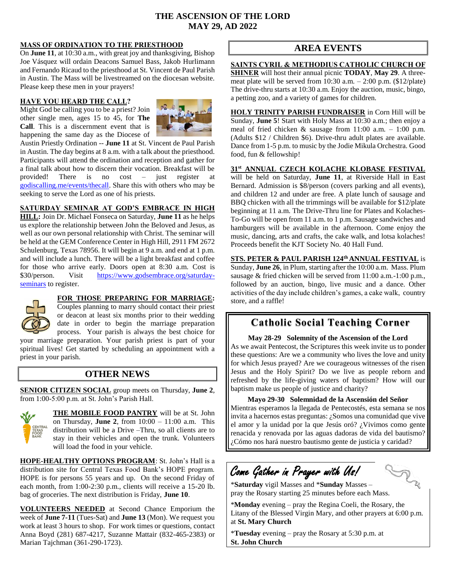## **THE ASCENSION OF THE LORD MAY 29, AD 2022**

l

## **MASS OF ORDINATION TO THE PRIESTHOOD**

On **June 11**, at 10:30 a.m., with great joy and thanksgiving, Bishop Joe Vásquez will ordain Deacons Samuel Bass, Jakob Hurlimann and Fernando Ricaud to the priesthood at St. Vincent de Paul Parish in Austin. The Mass will be livestreamed on the diocesan website. Please keep these men in your prayers!

### **HAVE YOU HEARD THE CALL?**

Might God be calling you to be a priest? Join other single men, ages 15 to 45, for **The Call**. This is a discernment event that is happening the same day as the Diocese of



Austin Priestly Ordination -- **June 11** at St. Vincent de Paul Parish in Austin. The day begins at 8 a.m. with a talk about the priesthood. Participants will attend the ordination and reception and gather for a final talk about how to discern their vocation. Breakfast will be provided! There is no cost – just register at [godiscalling.me/events/thecall.](https://godiscalling.me/events/thecall) Share this with others who may be seeking to serve the Lord as one of his priests.

## **SATURDAY SEMINAR AT GOD'S EMBRACE IN HIGH**

**HILL:** Join Dr. Michael Fonseca on Saturday, **June 11** as he helps us explore the relationship between John the Beloved and Jesus, as well as our own personal relationship with Christ. The seminar will be held at the GEM Conference Center in High Hill, 2911 FM 2672 Schulenburg, Texas 78956. It will begin at 9 a.m. and end at 1 p.m. and will include a lunch. There will be a light breakfast and coffee for those who arrive early. Doors open at 8:30 a.m. Cost is \$30/person. Visit [https://www.godsembrace.org/saturday](https://www.godsembrace.org/saturday-seminars)[seminars](https://www.godsembrace.org/saturday-seminars) to register.



## **FOR THOSE PREPARING FOR MARRIAGE:**

Couples planning to marry should contact their priest or deacon at least six months prior to their wedding date in order to begin the marriage preparation process.Your parish is always the best choice for your marriage preparation. Your parish priest is part of your

spiritual lives! Get started by scheduling an appointment with a priest in your parish.

# **OTHER NEWS**

**SENIOR CITIZEN SOCIAL** group meets on Thursday, **June 2**, from 1:00-5:00 p.m. at St. John's Parish Hall.



**THE MOBILE FOOD PANTRY** will be at St. John on Thursday, **June 2**, from 10:00 – 11:00 a.m. This distribution will be a Drive –Thru, so all clients are to stay in their vehicles and open the trunk. Volunteers will load the food in your vehicle.

**HOPE-HEALTHY OPTIONS PROGRAM**: St. John's Hall is a distribution site for Central Texas Food Bank's HOPE program. HOPE is for persons 55 years and up. On the second Friday of each month, from 1:00-2:30 p.m., clients will receive a 15-20 lb. bag of groceries. The next distribution is Friday, **June 10**.

**VOLUNTEERS NEEDED** at Second Chance Emporium the week of **June 7-11** (Tues-Sat) and **June 13** (Mon). We request you work at least 3 hours to shop. For work times or questions, contact Anna Boyd (281) 687-4217, Suzanne Mattair (832-465-2383) or Marian Tajchman (361-290-1723).

# **AREA EVENTS**

**SAINTS CYRIL & METHODIUS CATHOLIC CHURCH OF SHINER** will host their annual picnic **TODAY**, **May 29**. A threemeat plate will be served from  $10:30$  a.m.  $- 2:00$  p.m. (\$12/plate) The drive-thru starts at 10:30 a.m. Enjoy the auction, music, bingo, a petting zoo, and a variety of games for children.

**HOLY TRINITY PARISH FUNDRAISER** in Corn Hill will be Sunday, **June 5**! Start with Holy Mass at 10:30 a.m.; then enjoy a meal of fried chicken & sausage from 11:00 a.m. – 1:00 p.m. (Adults \$12 / Children \$6). Drive-thru adult plates are available. Dance from 1-5 p.m. to music by the Jodie Mikula Orchestra. Good food, fun & fellowship!

**31st ANNUAL CZECH KOLACHE KLOBASE FESTIVAL** will be held on Saturday, **June 11**, at Riverside Hall in East Bernard. Admission is \$8/person (covers parking and all events), and children 12 and under are free. A plate lunch of sausage and BBQ chicken with all the trimmings will be available for \$12/plate beginning at 11 a.m. The Drive-Thru line for Plates and Kolaches-To-Go will be open from 11 a.m. to 1 p.m. Sausage sandwiches and hamburgers will be available in the afternoon. Come enjoy the music, dancing, arts and crafts, the cake walk, and lotsa kolaches! Proceeds benefit the KJT Society No. 40 Hall Fund.

**STS. PETER & PAUL PARISH 124th ANNUAL FESTIVAL** is Sunday, **June 26**, in Plum, starting after the 10:00 a.m. Mass. Plum sausage & fried chicken will be served from 11:00 a.m.-1:00 p.m., followed by an auction, bingo, live music and a dance. Other activities of the day include children's games, a cake walk, country store, and a raffle!

# **Catholic Social Teaching Corner**

**May 28-29 Solemnity of the Ascension of the Lord** As we await Pentecost, the Scriptures this week invite us to ponder these questions: Are we a community who lives the love and unity for which Jesus prayed? Are we courageous witnesses of the risen Jesus and the Holy Spirit? Do we live as people reborn and refreshed by the life-giving waters of baptism? How will our baptism make us people of justice and charity?

**Mayo 29-30 Solemnidad de la Ascensión del Señor** Mientras esperamos la llegada de Pentecostés, esta semana se nos invita a hacernos estas preguntas: ¿Somos una comunidad que vive el amor y la unidad por la que Jesús oró? ¿Vivimos como gente renacida y renovada por las aguas dadoras de vida del bautismo? ¿Cómo nos hará nuestro bautismo gente de justicia y caridad? 

# Come Gather in Prayer with Us!

**FE** 

\***Saturday** vigil Masses and \***Sunday** Masses – pray the Rosary starting 25 minutes before each Mass.

\***Monday** evening – pray the Regina Coeli, the Rosary, the Litany of the Blessed Virgin Mary, and other prayers at 6:00 p.m. at **St. Mary Church**

\***Tuesday** evening – pray the Rosary at 5:30 p.m. at **St. John Church**